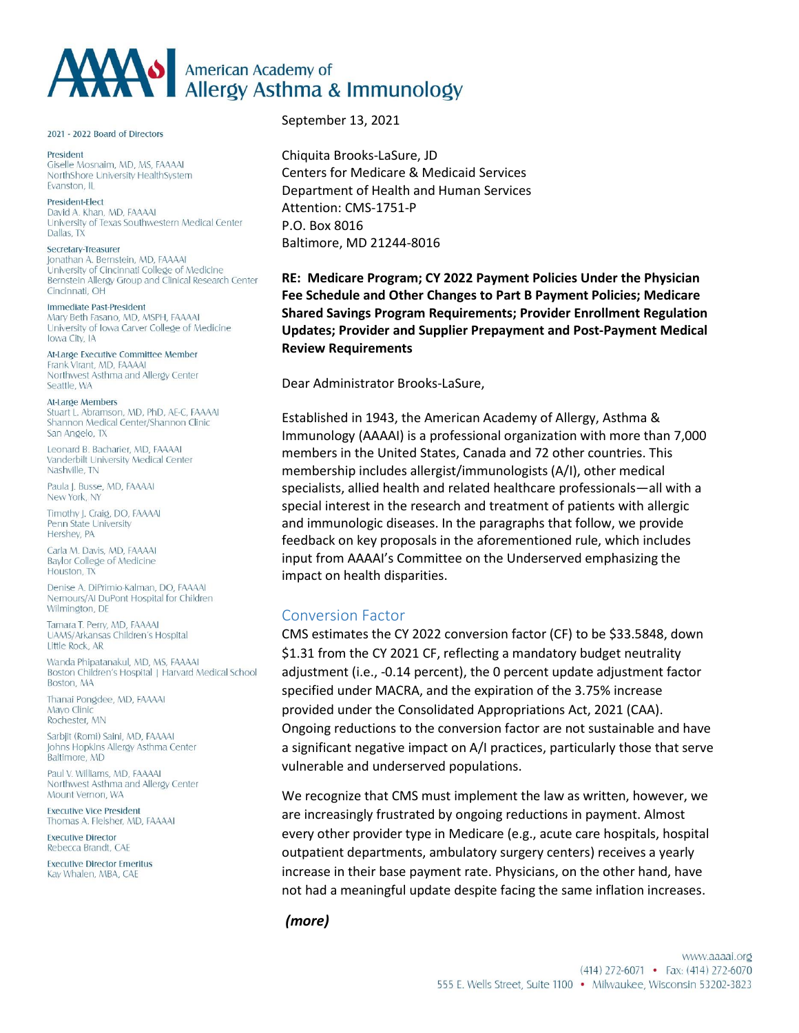# AMAN Allergy Asthma & Immunology

2021 - 2022 Board of Directors

President Giselle Mosnaim, MD, MS, FAAAAI NorthShore University HealthSystem Evanston, IL

President-Elect David A, Khan, MD, FAAAAI University of Texas Southwestern Medical Center Dallas, TX

Secretary-Treasurer Jonathan A. Bernstein, MD, FAAAAI University of Cincinnati College of Medicine Bernstein Allergy Group and Clinical Research Center Cincinnati, OH

Immediate Past-President Mary Beth Fasano, MD, MSPH, FAAAAI University of Iowa Carver College of Medicine Iowa City, IA

At-Large Executive Committee Member Frank Virant, MD, FAAAAI Northwest Asthma and Allergy Center Seattle, WA

At-Large Members Stuart L. Abramson, MD, PhD, AE-C, FAAAAI Shannon Medical Center/Shannon Clinic San Angelo, TX

Leonard B. Bacharier, MD. FAAAAL Vanderbilt University Medical Center Nashville TN

Paula J. Busse, MD, FAAAAI New York, NY

Timothy J. Craig, DO, FAAAAI Penn State University Hershey, PA

Carla M. Davis, MD, FAAAAI **Baylor College of Medicine** Houston, TX

Denise A DiPrimio-Kalman DO FAAAAL Nemours/AI DuPont Hospital for Children Wilmington, DE

Tamara T. Perry, MD, FAAAAI UAMS/Arkansas Children's Hospital Little Rock, AR

Wanda Phipatanakul, MD, MS, FAAAAI Boston Children's Hospital | Harvard Medical School Boston, MA

Thanai Pongdee, MD, FAAAAI Mayo Clinic Rochester, MN

Sarbjit (Romi) Saini, MD, FAAAAI Johns Hopkins Allergy Asthma Center Baltimore, MD

Paul V Williams MD FAAAAI Northwest Asthma and Allergy Center Mount Vernon, WA

**Executive Vice President** Thomas A. Fleisher, MD, FAAAAI

**Executive Director** Rebecca Brandt, CAE

**Executive Director Emeritus** Kay Whalen, MBA, CAE

September 13, 2021

Chiquita Brooks-LaSure, JD Centers for Medicare & Medicaid Services Department of Health and Human Services Attention: CMS-1751-P P.O. Box 8016 Baltimore, MD 21244-8016

**RE: Medicare Program; CY 2022 Payment Policies Under the Physician Fee Schedule and Other Changes to Part B Payment Policies; Medicare Shared Savings Program Requirements; Provider Enrollment Regulation Updates; Provider and Supplier Prepayment and Post-Payment Medical Review Requirements**

Dear Administrator Brooks-LaSure,

Established in 1943, the American Academy of Allergy, Asthma & Immunology (AAAAI) is a professional organization with more than 7,000 members in the United States, Canada and 72 other countries. This membership includes allergist/immunologists (A/I), other medical specialists, allied health and related healthcare professionals—all with a special interest in the research and treatment of patients with allergic and immunologic diseases. In the paragraphs that follow, we provide feedback on key proposals in the aforementioned rule, which includes input from AAAAI's Committee on the Underserved emphasizing the impact on health disparities.

### Conversion Factor

CMS estimates the CY 2022 conversion factor (CF) to be \$33.5848, down \$1.31 from the CY 2021 CF, reflecting a mandatory budget neutrality adjustment (i.e., -0.14 percent), the 0 percent update adjustment factor specified under MACRA, and the expiration of the 3.75% increase provided under the Consolidated Appropriations Act, 2021 (CAA). Ongoing reductions to the conversion factor are not sustainable and have a significant negative impact on A/I practices, particularly those that serve vulnerable and underserved populations.

We recognize that CMS must implement the law as written, however, we are increasingly frustrated by ongoing reductions in payment. Almost every other provider type in Medicare (e.g., acute care hospitals, hospital outpatient departments, ambulatory surgery centers) receives a yearly increase in their base payment rate. Physicians, on the other hand, have not had a meaningful update despite facing the same inflation increases.

```
(more)
```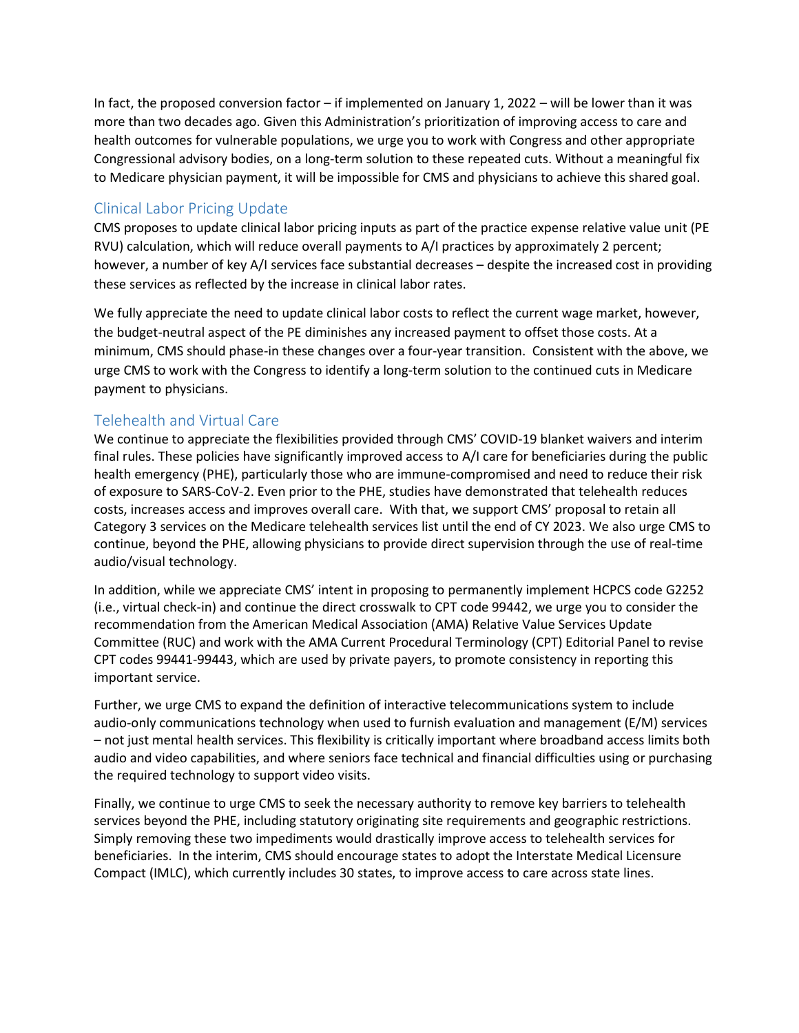In fact, the proposed conversion factor – if implemented on January 1, 2022 – will be lower than it was more than two decades ago. Given this Administration's prioritization of improving access to care and health outcomes for vulnerable populations, we urge you to work with Congress and other appropriate Congressional advisory bodies, on a long-term solution to these repeated cuts. Without a meaningful fix to Medicare physician payment, it will be impossible for CMS and physicians to achieve this shared goal.

## Clinical Labor Pricing Update

CMS proposes to update clinical labor pricing inputs as part of the practice expense relative value unit (PE RVU) calculation, which will reduce overall payments to A/I practices by approximately 2 percent; however, a number of key A/I services face substantial decreases – despite the increased cost in providing these services as reflected by the increase in clinical labor rates.

We fully appreciate the need to update clinical labor costs to reflect the current wage market, however, the budget-neutral aspect of the PE diminishes any increased payment to offset those costs. At a minimum, CMS should phase-in these changes over a four-year transition. Consistent with the above, we urge CMS to work with the Congress to identify a long-term solution to the continued cuts in Medicare payment to physicians.

# Telehealth and Virtual Care

We continue to appreciate the flexibilities provided through CMS' COVID-19 blanket waivers and interim final rules. These policies have significantly improved access to A/I care for beneficiaries during the public health emergency (PHE), particularly those who are immune-compromised and need to reduce their risk of exposure to SARS-CoV-2. Even prior to the PHE, studies have demonstrated that telehealth reduces costs, increases access and improves overall care. With that, we support CMS' proposal to retain all Category 3 services on the Medicare telehealth services list until the end of CY 2023. We also urge CMS to continue, beyond the PHE, allowing physicians to provide direct supervision through the use of real-time audio/visual technology.

In addition, while we appreciate CMS' intent in proposing to permanently implement HCPCS code G2252 (i.e., virtual check-in) and continue the direct crosswalk to CPT code 99442, we urge you to consider the recommendation from the American Medical Association (AMA) Relative Value Services Update Committee (RUC) and work with the AMA Current Procedural Terminology (CPT) Editorial Panel to revise CPT codes 99441-99443, which are used by private payers, to promote consistency in reporting this important service.

Further, we urge CMS to expand the definition of interactive telecommunications system to include audio-only communications technology when used to furnish evaluation and management (E/M) services – not just mental health services. This flexibility is critically important where broadband access limits both audio and video capabilities, and where seniors face technical and financial difficulties using or purchasing the required technology to support video visits.

Finally, we continue to urge CMS to seek the necessary authority to remove key barriers to telehealth services beyond the PHE, including statutory originating site requirements and geographic restrictions. Simply removing these two impediments would drastically improve access to telehealth services for beneficiaries. In the interim, CMS should encourage states to adopt the Interstate Medical Licensure Compact (IMLC), which currently includes 30 states, to improve access to care across state lines.